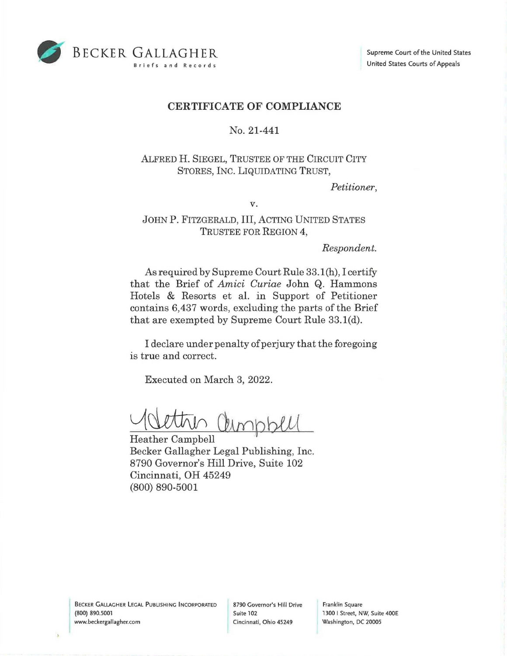

## **CERTIFICATE OF COMPLIANCE**

## No. 21-441

## ALFRED H. SIEGEL, TRUSTEE OF THE CIRCUIT CITY STORES, INC. LIQUIDATING TRUST,

*Petitioner,* 

**V.** 

## JOHN P. FITZGERALD, III, ACTING UNITED STATES TRUSTEE FOR REGION **4,**

*Respondent.* 

As required by Supreme Court Rule 33.1(h), I certify that the Brief of *Amici Curiae* John Q. Hammons Hotels & Resorts et al. in Support of Petitioner contains 6,437 words, excluding the parts of the Brief that are exempted by Supreme Court Rule 33.1(d).

I declare under penalty of perjury that the foregoing is true and correct.

Executed on March 3, 2022.

Vettin Christell

Becker Gallagher Legal Publishing, Inc. 8790 Governor's Hill Drive, Suite 102 Cincinnati, OH 45249 (800) 890-5001

**BECKER GALLAGHER LEGAL PUBLISHING INCORPORATED** www.beckergallagher.com (800) 890.5001

8790 Governor's Hill Drive Franklin Square Cincinnati, Ohio 45249 Washington, DC 20005

Suite 102 1300 | Street, NW, Suite 400E